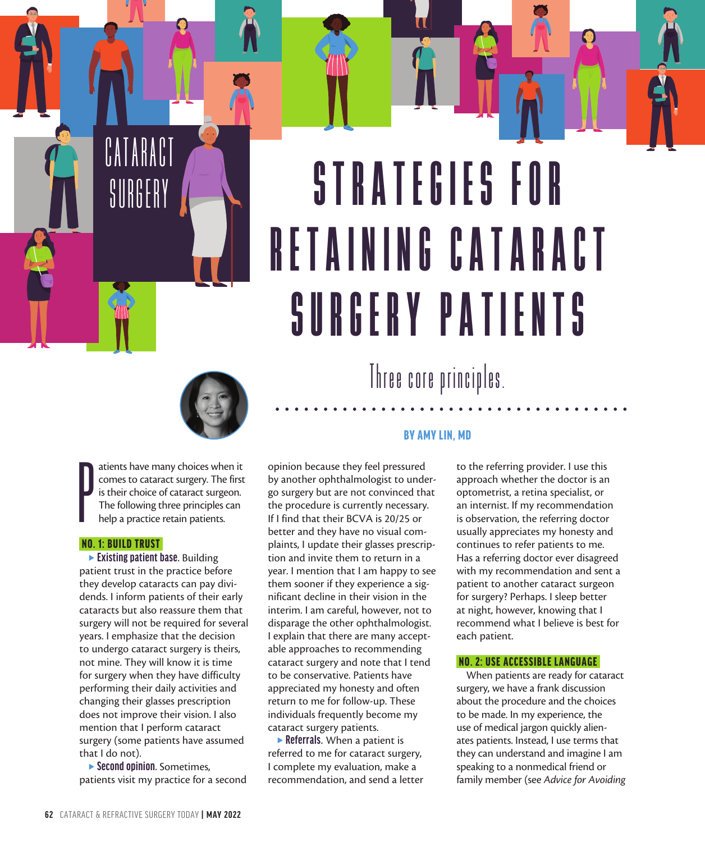# STRATEGIES FOR R E T A I N I N G C A T A R A C T SURGERY PATIENTS



P atients have many choices when it comes to cataract surgery. The first is their choice of cataract surgeon. The following three principles can help a practice retain patients.

#### NO. 1: BUILD TRUST

s PERFECT THE PATIENT LIFECYCLE

CATARACT

SURGERY

**Existing patient base.** Building patient trust in the practice before they develop cataracts can pay dividends. I inform patients of their early cataracts but also reassure them that surgery will not be required for several years. I emphasize that the decision to undergo cataract surgery is theirs, not mine. They will know it is time for surgery when they have difficulty performing their daily activities and changing their glasses prescription does not improve their vision. I also mention that I perform cataract surgery (some patients have assumed that I do not).

<sup>s</sup> **Second opinion.** Sometimes, patients visit my practice for a second

opinion because they feel pressured by another ophthalmologist to undergo surgery but are not convinced that the procedure is currently necessary. If I find that their BCVA is 20/25 or better and they have no visual complaints, I update their glasses prescription and invite them to return in a year. I mention that I am happy to see them sooner if they experience a significant decline in their vision in the interim. I am careful, however, not to disparage the other ophthalmologist. I explain that there are many acceptable approaches to recommending cataract surgery and note that I tend to be conservative. Patients have appreciated my honesty and often return to me for follow-up. These individuals frequently become my cataract surgery patients.

**Referrals.** When a patient is referred to me for cataract surgery, I complete my evaluation, make a recommendation, and send a letter

### BY AMY LIN, MD

Three core principles.

to the referring provider. I use this approach whether the doctor is an optometrist, a retina specialist, or an internist. If my recommendation is observation, the referring doctor usually appreciates my honesty and continues to refer patients to me. Has a referring doctor ever disagreed with my recommendation and sent a patient to another cataract surgeon for surgery? Perhaps. I sleep better at night, however, knowing that I recommend what I believe is best for each patient.

 $\bigcirc$ 

### NO. 2: USE ACCESSIBLE LANGUAGE

When patients are ready for cataract surgery, we have a frank discussion about the procedure and the choices to be made. In my experience, the use of medical jargon quickly alienates patients. Instead, I use terms that they can understand and imagine I am speaking to a nonmedical friend or family member (see *Advice for Avoiding*